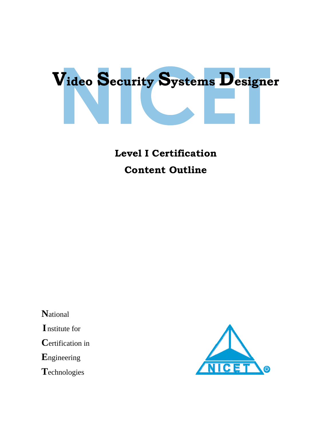

# **Level I Certification Content Outline**

 **N**ational  **I** nstitute for  **C**ertification in  **E**ngineering  **T**echnologies

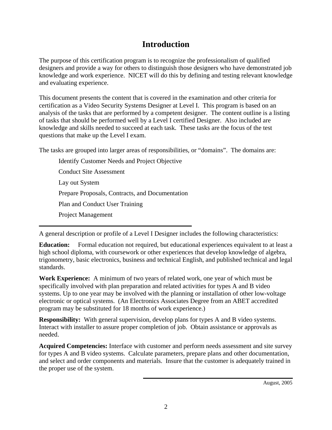# **Introduction**

The purpose of this certification program is to recognize the professionalism of qualified designers and provide a way for others to distinguish those designers who have demonstrated job knowledge and work experience. NICET will do this by defining and testing relevant knowledge and evaluating experience.

This document presents the content that is covered in the examination and other criteria for certification as a Video Security Systems Designer at Level I. This program is based on an analysis of the tasks that are performed by a competent designer. The content outline is a listing of tasks that should be performed well by a Level I certified Designer. Also included are knowledge and skills needed to succeed at each task. These tasks are the focus of the test questions that make up the Level I exam.

The tasks are grouped into larger areas of responsibilities, or "domains". The domains are:

Identify Customer Needs and Project Objective Conduct Site Assessment Lay out System Prepare Proposals, Contracts, and Documentation Plan and Conduct User Training Project Management

A general description or profile of a Level I Designer includes the following characteristics:

**Education:** Formal education not required, but educational experiences equivalent to at least a high school diploma, with coursework or other experiences that develop knowledge of algebra, trigonometry, basic electronics, business and technical English, and published technical and legal standards.

**Work Experience:** A minimum of two years of related work, one year of which must be specifically involved with plan preparation and related activities for types A and B video systems. Up to one year may be involved with the planning or installation of other low-voltage electronic or optical systems. (An Electronics Associates Degree from an ABET accredited program may be substituted for 18 months of work experience.)

**Responsibility:** With general supervision, develop plans for types A and B video systems. Interact with installer to assure proper completion of job. Obtain assistance or approvals as needed.

**Acquired Competencies:** Interface with customer and perform needs assessment and site survey for types A and B video systems. Calculate parameters, prepare plans and other documentation, and select and order components and materials. Insure that the customer is adequately trained in the proper use of the system.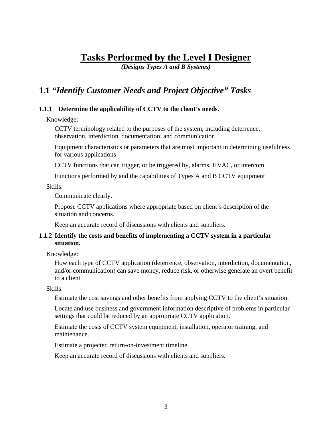# **Tasks Performed by the Level I Designer**

*(Designs Types A and B Systems)* 

# **1.1** *"Identify Customer Needs and Project Objective" Tasks*

#### **1.1.1 Determine the applicability of CCTV to the client's needs.**

Knowledge:

CCTV terminology related to the purposes of the system, including deterrence, observation, interdiction, documentation, and communication

Equipment characteristics or parameters that are most important in determining usefulness for various applications

CCTV functions that can trigger, or be triggered by, alarms, HVAC, or intercom

Functions performed by and the capabilities of Types A and B CCTV equipment

Skills:

Communicate clearly.

Propose CCTV applications where appropriate based on client's description of the situation and concerns.

Keep an accurate record of discussions with clients and suppliers.

#### **1.1.2 Identify the costs and benefits of implementing a CCTV system in a particular situation.**

Knowledge:

How each type of CCTV application (deterrence, observation, interdiction, documentation, and/or communication) can save money, reduce risk, or otherwise generate an overt benefit to a client

Skills:

Estimate the cost savings and other benefits from applying CCTV to the client's situation.

Locate and use business and government information descriptive of problems in particular settings that could be reduced by an appropriate CCTV application.

Estimate the costs of CCTV system equipment, installation, operator training, and maintenance.

Estimate a projected return-on-investment timeline.

Keep an accurate record of discussions with clients and suppliers.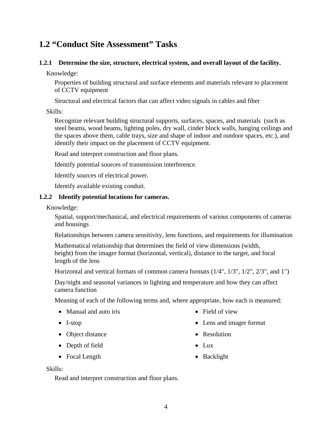### **1.2 "Conduct Site Assessment" Tasks**

#### **1.2.1 Determine the size, structure, electrical system, and overall layout of the facility.**

Knowledge:

Properties of building structural and surface elements and materials relevant to placement of CCTV equipment

Structural and electrical factors that can affect video signals in cables and fiber

Skills:

Recognize relevant building structural supports, surfaces, spaces, and materials (such as steel beams, wood beams, lighting poles, dry wall, cinder block walls, hanging ceilings and the spaces above them, cable trays, size and shape of indoor and outdoor spaces, etc.), and identify their impact on the placement of CCTV equipment.

Read and interpret construction and floor plans.

Identify potential sources of transmission interference.

Identify sources of electrical power.

Identify available existing conduit.

#### **1.2.2 Identify potential locations for cameras.**

Knowledge:

Spatial, support/mechanical, and electrical requirements of various components of cameras and housings

Relationships between camera sensitivity, lens functions, and requirements for illumination

Mathematical relationship that determines the field of view dimensions (width, height) from the imager format (horizontal, vertical), distance to the target, and focal length of the lens

Horizontal and vertical formats of common camera formats (1/4", 1/3", 1/2", 2/3", and 1")

Day/night and seasonal variances in lighting and temperature and how they can affect camera function

Meaning of each of the following terms and, where appropriate, how each is measured:

- Manual and auto iris
- f-stop
- Object distance
- Depth of field
- Focal Length
- Field of view
- Lens and imager format
- Resolution
- $\bullet$  Lux
- Backlight

Skills:

Read and interpret construction and floor plans.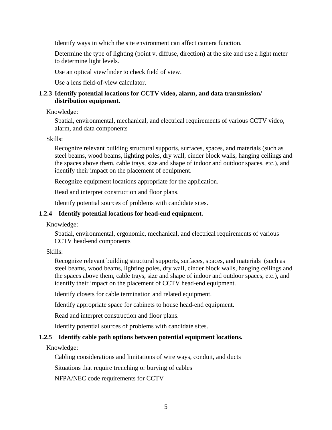Identify ways in which the site environment can affect camera function.

Determine the type of lighting (point v. diffuse, direction) at the site and use a light meter to determine light levels.

Use an optical viewfinder to check field of view.

Use a lens field-of-view calculator.

#### **1.2.3 Identify potential locations for CCTV video, alarm, and data transmission/ distribution equipment.**

Knowledge:

Spatial, environmental, mechanical, and electrical requirements of various CCTV video, alarm, and data components

Skills:

Recognize relevant building structural supports, surfaces, spaces, and materials (such as steel beams, wood beams, lighting poles, dry wall, cinder block walls, hanging ceilings and the spaces above them, cable trays, size and shape of indoor and outdoor spaces, etc.), and identify their impact on the placement of equipment.

Recognize equipment locations appropriate for the application.

Read and interpret construction and floor plans.

Identify potential sources of problems with candidate sites.

### **1.2.4 Identify potential locations for head-end equipment.**

Knowledge:

Spatial, environmental, ergonomic, mechanical, and electrical requirements of various CCTV head-end components

Skills:

Recognize relevant building structural supports, surfaces, spaces, and materials (such as steel beams, wood beams, lighting poles, dry wall, cinder block walls, hanging ceilings and the spaces above them, cable trays, size and shape of indoor and outdoor spaces, etc.), and identify their impact on the placement of CCTV head-end equipment.

Identify closets for cable termination and related equipment.

Identify appropriate space for cabinets to house head-end equipment.

Read and interpret construction and floor plans.

Identify potential sources of problems with candidate sites.

### **1.2.5 Identify cable path options between potential equipment locations.**

Knowledge:

Cabling considerations and limitations of wire ways, conduit, and ducts

Situations that require trenching or burying of cables

NFPA/NEC code requirements for CCTV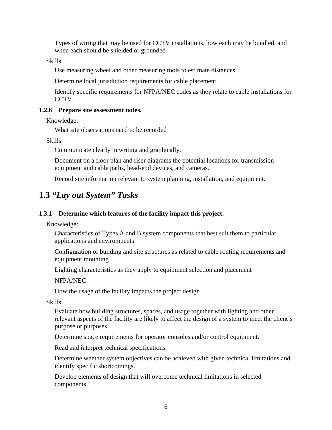Types of wiring that may be used for CCTV installations, how each may be bundled, and when each should be shielded or grounded

Skills:

Use measuring wheel and other measuring tools to estimate distances.

Determine local jurisdiction requirements for cable placement.

Identify specific requirements for NFPA/NEC codes as they relate to cable installations for CCTV.

#### **1.2.6 Prepare site assessment notes.**

Knowledge:

What site observations need to be recorded

Skills:

Communicate clearly in writing and graphically.

Document on a floor plan and riser diagrams the potential locations for transmission equipment and cable paths, head-end devices, and cameras.

Record site information relevant to system planning, installation, and equipment.

# **1.3** *"Lay out System" Tasks*

#### **1.3.1 Determine which features of the facility impact this project.**

Knowledge:

Characteristics of Types A and B system components that best suit them to particular applications and environments

Configuration of building and site structures as related to cable routing requirements and equipment mounting

Lighting characteristics as they apply to equipment selection and placement

NFPA/NEC

How the usage of the facility impacts the project design

Skills:

Evaluate how building structures, spaces, and usage together with lighting and other relevant aspects of the facility are likely to affect the design of a system to meet the client's purpose or purposes.

Determine space requirements for operator consoles and/or control equipment.

Read and interpret technical specifications.

Determine whether system objectives can be achieved with given technical limitations and identify specific shortcomings.

Develop elements of design that will overcome technical limitations in selected components.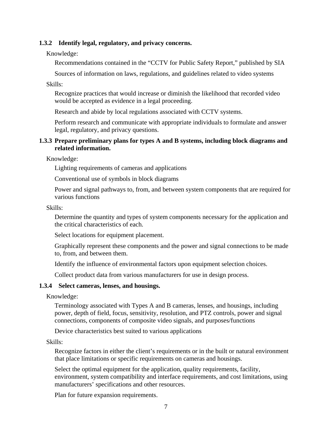#### **1.3.2 Identify legal, regulatory, and privacy concerns.**

#### Knowledge:

Recommendations contained in the "CCTV for Public Safety Report," published by SIA

Sources of information on laws, regulations, and guidelines related to video systems

Skills:

Recognize practices that would increase or diminish the likelihood that recorded video would be accepted as evidence in a legal proceeding.

Research and abide by local regulations associated with CCTV systems.

Perform research and communicate with appropriate individuals to formulate and answer legal, regulatory, and privacy questions.

#### **1.3.3 Prepare preliminary plans for types A and B systems, including block diagrams and related information.**

Knowledge:

Lighting requirements of cameras and applications

Conventional use of symbols in block diagrams

Power and signal pathways to, from, and between system components that are required for various functions

#### Skills:

Determine the quantity and types of system components necessary for the application and the critical characteristics of each.

Select locations for equipment placement.

Graphically represent these components and the power and signal connections to be made to, from, and between them.

Identify the influence of environmental factors upon equipment selection choices.

Collect product data from various manufacturers for use in design process.

#### **1.3.4 Select cameras, lenses, and housings.**

Knowledge:

Terminology associated with Types A and B cameras, lenses, and housings, including power, depth of field, focus, sensitivity, resolution, and PTZ controls, power and signal connections, components of composite video signals, and purposes/functions

Device characteristics best suited to various applications

Skills:

Recognize factors in either the client's requirements or in the built or natural environment that place limitations or specific requirements on cameras and housings.

Select the optimal equipment for the application, quality requirements, facility, environment, system compatibility and interface requirements, and cost limitations, using manufacturers' specifications and other resources.

Plan for future expansion requirements.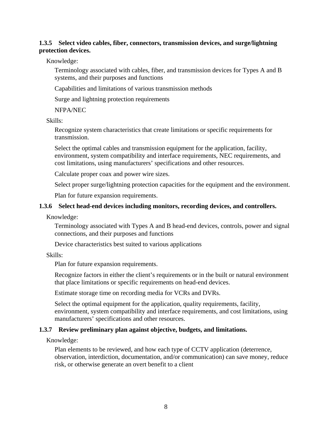#### **1.3.5 Select video cables, fiber, connectors, transmission devices, and surge/lightning protection devices.**

Knowledge:

Terminology associated with cables, fiber, and transmission devices for Types A and B systems, and their purposes and functions

Capabilities and limitations of various transmission methods

Surge and lightning protection requirements

NFPA/NEC

Skills:

Recognize system characteristics that create limitations or specific requirements for transmission.

Select the optimal cables and transmission equipment for the application, facility, environment, system compatibility and interface requirements, NEC requirements, and cost limitations, using manufacturers' specifications and other resources.

Calculate proper coax and power wire sizes.

Select proper surge/lightning protection capacities for the equipment and the environment.

Plan for future expansion requirements.

#### **1.3.6 Select head-end devices including monitors, recording devices, and controllers.**

Knowledge:

Terminology associated with Types A and B head-end devices, controls, power and signal connections, and their purposes and functions

Device characteristics best suited to various applications

Skills:

Plan for future expansion requirements.

Recognize factors in either the client's requirements or in the built or natural environment that place limitations or specific requirements on head-end devices.

Estimate storage time on recording media for VCRs and DVRs.

Select the optimal equipment for the application, quality requirements, facility, environment, system compatibility and interface requirements, and cost limitations, using manufacturers' specifications and other resources.

#### **1.3.7 Review preliminary plan against objective, budgets, and limitations.**

Knowledge:

Plan elements to be reviewed, and how each type of CCTV application (deterrence, observation, interdiction, documentation, and/or communication) can save money, reduce risk, or otherwise generate an overt benefit to a client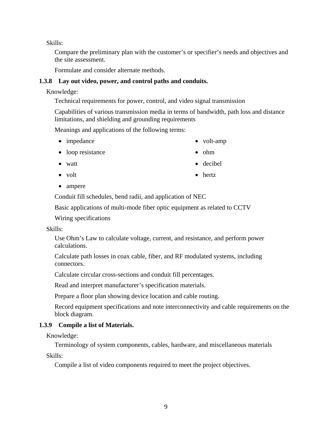Skills:

Compare the preliminary plan with the customer's or specifier's needs and objectives and the site assessment.

Formulate and consider alternate methods.

#### **1.3.8 Lay out video, power, and control paths and conduits.**

Knowledge:

Technical requirements for power, control, and video signal transmission

Capabilities of various transmission media in terms of bandwidth, path loss and distance limitations, and shielding and grounding requirements

Meanings and applications of the following terms:

- impedance
- loop resistance
- watt
- volt

• hertz

• volt-amp

 $\bullet$  ohm

• decibel

• ampere

Conduit fill schedules, bend radii, and application of NEC

Basic applications of multi-mode fiber optic equipment as related to CCTV

Wiring specifications

#### Skills:

Use Ohm's Law to calculate voltage, current, and resistance, and perform power calculations.

Calculate path losses in coax cable, fiber, and RF modulated systems, including connectors.

Calculate circular cross-sections and conduit fill percentages.

Read and interpret manufacturer's specification materials.

Prepare a floor plan showing device location and cable routing.

Record equipment specifications and note interconnectivity and cable requirements on the block diagram.

### **1.3.9 Compile a list of Materials.**

Knowledge:

Terminology of system components, cables, hardware, and miscellaneous materials

Skills:

Compile a list of video components required to meet the project objectives.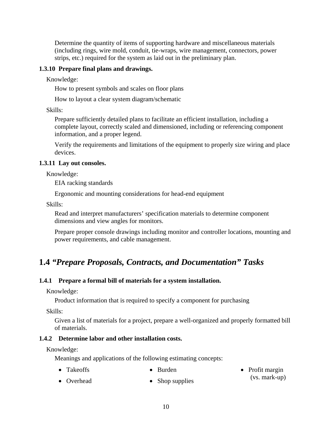Determine the quantity of items of supporting hardware and miscellaneous materials (including rings, wire mold, conduit, tie-wraps, wire management, connectors, power strips, etc.) required for the system as laid out in the preliminary plan.

#### **1.3.10 Prepare final plans and drawings.**

Knowledge:

How to present symbols and scales on floor plans

How to layout a clear system diagram/schematic

Skills:

Prepare sufficiently detailed plans to facilitate an efficient installation, including a complete layout, correctly scaled and dimensioned, including or referencing component information, and a proper legend.

Verify the requirements and limitations of the equipment to properly size wiring and place devices.

#### **1.3.11 Lay out consoles.**

Knowledge:

EIA racking standards

Ergonomic and mounting considerations for head-end equipment

Skills:

Read and interpret manufacturers' specification materials to determine component dimensions and view angles for monitors.

Prepare proper console drawings including monitor and controller locations, mounting and power requirements, and cable management.

### **1.4** *"Prepare Proposals, Contracts, and Documentation" Tasks*

#### **1.4.1 Prepare a formal bill of materials for a system installation.**

Knowledge:

Product information that is required to specify a component for purchasing

Skills:

Given a list of materials for a project, prepare a well-organized and properly formatted bill of materials.

(vs. mark-up)

#### **1.4.2 Determine labor and other installation costs.**

Knowledge:

Meanings and applications of the following estimating concepts:

- Takeoffs Burden • Profit margin
- Overhead • Shop supplies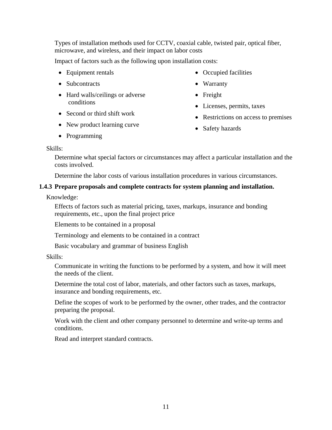Types of installation methods used for CCTV, coaxial cable, twisted pair, optical fiber, microwave, and wireless, and their impact on labor costs

Impact of factors such as the following upon installation costs:

- Equipment rentals
- Subcontracts
- Hard walls/ceilings or adverse conditions
- Second or third shift work
- New product learning curve
- Programming
- Occupied facilities
- Warranty
- Freight
- Licenses, permits, taxes
- Restrictions on access to premises
- Safety hazards

#### Skills:

Determine what special factors or circumstances may affect a particular installation and the costs involved.

Determine the labor costs of various installation procedures in various circumstances.

#### **1.4.3 Prepare proposals and complete contracts for system planning and installation.**

Knowledge:

Effects of factors such as material pricing, taxes, markups, insurance and bonding requirements, etc., upon the final project price

Elements to be contained in a proposal

Terminology and elements to be contained in a contract

Basic vocabulary and grammar of business English

Skills:

Communicate in writing the functions to be performed by a system, and how it will meet the needs of the client.

Determine the total cost of labor, materials, and other factors such as taxes, markups, insurance and bonding requirements, etc.

Define the scopes of work to be performed by the owner, other trades, and the contractor preparing the proposal.

Work with the client and other company personnel to determine and write-up terms and conditions.

Read and interpret standard contracts.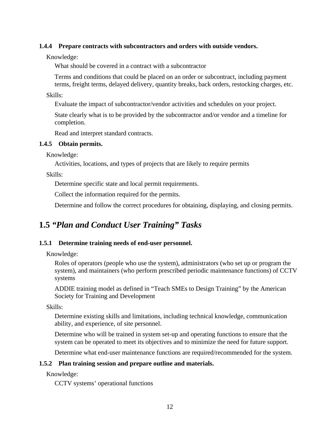#### **1.4.4 Prepare contracts with subcontractors and orders with outside vendors.**

Knowledge:

What should be covered in a contract with a subcontractor

Terms and conditions that could be placed on an order or subcontract, including payment terms, freight terms, delayed delivery, quantity breaks, back orders, restocking charges, etc.

Skills:

Evaluate the impact of subcontractor/vendor activities and schedules on your project.

State clearly what is to be provided by the subcontractor and/or vendor and a timeline for completion.

Read and interpret standard contracts.

#### **1.4.5 Obtain permits.**

Knowledge:

Activities, locations, and types of projects that are likely to require permits

Skills:

Determine specific state and local permit requirements.

Collect the information required for the permits.

Determine and follow the correct procedures for obtaining, displaying, and closing permits.

# **1.5** *"Plan and Conduct User Training" Tasks*

#### **1.5.1 Determine training needs of end-user personnel.**

Knowledge:

Roles of operators (people who use the system), administrators (who set up or program the system), and maintainers (who perform prescribed periodic maintenance functions) of CCTV systems

ADDIE training model as defined in "Teach SMEs to Design Training" by the American Society for Training and Development

Skills:

Determine existing skills and limitations, including technical knowledge, communication ability, and experience, of site personnel.

Determine who will be trained in system set-up and operating functions to ensure that the system can be operated to meet its objectives and to minimize the need for future support.

Determine what end-user maintenance functions are required/recommended for the system.

#### **1.5.2 Plan training session and prepare outline and materials.**

Knowledge:

CCTV systems' operational functions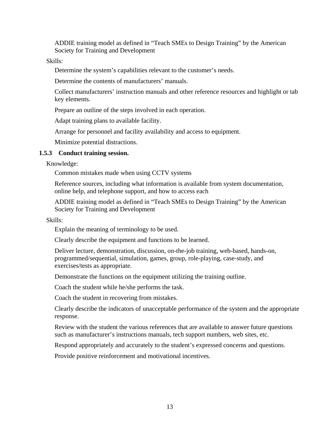ADDIE training model as defined in "Teach SMEs to Design Training" by the American Society for Training and Development

Skills:

Determine the system's capabilities relevant to the customer's needs.

Determine the contents of manufacturers' manuals.

Collect manufacturers' instruction manuals and other reference resources and highlight or tab key elements.

Prepare an outline of the steps involved in each operation.

Adapt training plans to available facility.

Arrange for personnel and facility availability and access to equipment.

Minimize potential distractions.

#### **1.5.3 Conduct training session.**

Knowledge:

Common mistakes made when using CCTV systems

Reference sources, including what information is available from system documentation, online help, and telephone support, and how to access each

ADDIE training model as defined in "Teach SMEs to Design Training" by the American Society for Training and Development

Skills:

Explain the meaning of terminology to be used.

Clearly describe the equipment and functions to be learned.

Deliver lecture, demonstration, discussion, on-the-job training, web-based, hands-on, programmed/sequential, simulation, games, group, role-playing, case-study, and exercises/tests as appropriate.

Demonstrate the functions on the equipment utilizing the training outline.

Coach the student while he/she performs the task.

Coach the student in recovering from mistakes.

Clearly describe the indicators of unacceptable performance of the system and the appropriate response.

Review with the student the various references that are available to answer future questions such as manufacturer's instructions manuals, tech support numbers, web sites, etc.

Respond appropriately and accurately to the student's expressed concerns and questions.

Provide positive reinforcement and motivational incentives.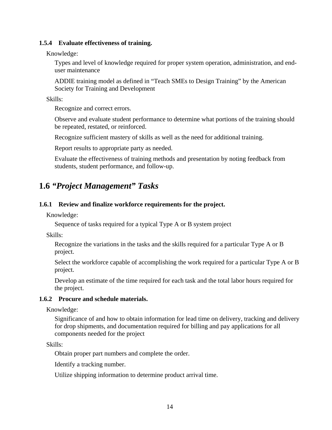#### **1.5.4 Evaluate effectiveness of training.**

Knowledge:

Types and level of knowledge required for proper system operation, administration, and enduser maintenance

ADDIE training model as defined in "Teach SMEs to Design Training" by the American Society for Training and Development

Skills:

Recognize and correct errors.

Observe and evaluate student performance to determine what portions of the training should be repeated, restated, or reinforced.

Recognize sufficient mastery of skills as well as the need for additional training.

Report results to appropriate party as needed.

Evaluate the effectiveness of training methods and presentation by noting feedback from students, student performance, and follow-up.

# **1.6** *"Project Management" Tasks*

#### **1.6.1 Review and finalize workforce requirements for the project.**

Knowledge:

Sequence of tasks required for a typical Type A or B system project

Skills:

Recognize the variations in the tasks and the skills required for a particular Type A or B project.

Select the workforce capable of accomplishing the work required for a particular Type A or B project.

Develop an estimate of the time required for each task and the total labor hours required for the project.

#### **1.6.2 Procure and schedule materials.**

Knowledge:

Significance of and how to obtain information for lead time on delivery, tracking and delivery for drop shipments, and documentation required for billing and pay applications for all components needed for the project

Skills:

Obtain proper part numbers and complete the order.

Identify a tracking number.

Utilize shipping information to determine product arrival time.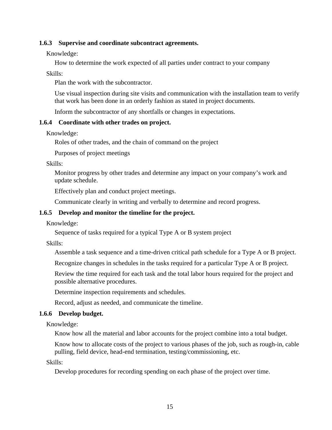#### **1.6.3 Supervise and coordinate subcontract agreements.**

Knowledge:

How to determine the work expected of all parties under contract to your company

Skills:

Plan the work with the subcontractor.

Use visual inspection during site visits and communication with the installation team to verify that work has been done in an orderly fashion as stated in project documents.

Inform the subcontractor of any shortfalls or changes in expectations.

#### **1.6.4 Coordinate with other trades on project.**

Knowledge:

Roles of other trades, and the chain of command on the project

Purposes of project meetings

Skills:

Monitor progress by other trades and determine any impact on your company's work and update schedule.

Effectively plan and conduct project meetings.

Communicate clearly in writing and verbally to determine and record progress.

#### **1.6.5 Develop and monitor the timeline for the project.**

Knowledge:

Sequence of tasks required for a typical Type A or B system project

Skills:

Assemble a task sequence and a time-driven critical path schedule for a Type A or B project.

Recognize changes in schedules in the tasks required for a particular Type A or B project.

Review the time required for each task and the total labor hours required for the project and possible alternative procedures.

Determine inspection requirements and schedules.

Record, adjust as needed, and communicate the timeline.

#### **1.6.6 Develop budget.**

Knowledge:

Know how all the material and labor accounts for the project combine into a total budget.

Know how to allocate costs of the project to various phases of the job, such as rough-in, cable pulling, field device, head-end termination, testing/commissioning, etc.

Skills:

Develop procedures for recording spending on each phase of the project over time.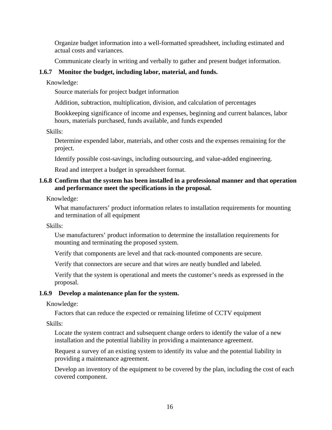Organize budget information into a well-formatted spreadsheet, including estimated and actual costs and variances.

Communicate clearly in writing and verbally to gather and present budget information.

#### **1.6.7 Monitor the budget, including labor, material, and funds.**

Knowledge:

Source materials for project budget information

Addition, subtraction, multiplication, division, and calculation of percentages

Bookkeeping significance of income and expenses, beginning and current balances, labor hours, materials purchased, funds available, and funds expended

Skills:

Determine expended labor, materials, and other costs and the expenses remaining for the project.

Identify possible cost-savings, including outsourcing, and value-added engineering.

Read and interpret a budget in spreadsheet format.

#### **1.6.8 Confirm that the system has been installed in a professional manner and that operation and performance meet the specifications in the proposal.**

Knowledge:

What manufacturers' product information relates to installation requirements for mounting and termination of all equipment

Skills:

Use manufacturers' product information to determine the installation requirements for mounting and terminating the proposed system.

Verify that components are level and that rack-mounted components are secure.

Verify that connectors are secure and that wires are neatly bundled and labeled.

Verify that the system is operational and meets the customer's needs as expressed in the proposal.

#### **1.6.9 Develop a maintenance plan for the system.**

Knowledge:

Factors that can reduce the expected or remaining lifetime of CCTV equipment

Skills:

Locate the system contract and subsequent change orders to identify the value of a new installation and the potential liability in providing a maintenance agreement.

Request a survey of an existing system to identify its value and the potential liability in providing a maintenance agreement.

Develop an inventory of the equipment to be covered by the plan, including the cost of each covered component.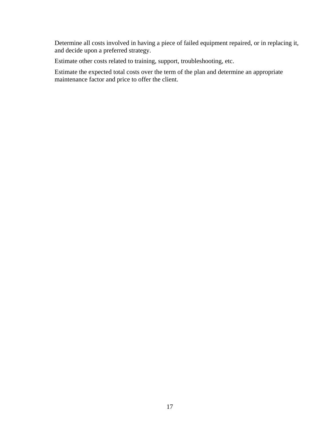Determine all costs involved in having a piece of failed equipment repaired, or in replacing it, and decide upon a preferred strategy.

Estimate other costs related to training, support, troubleshooting, etc.

Estimate the expected total costs over the term of the plan and determine an appropriate maintenance factor and price to offer the client.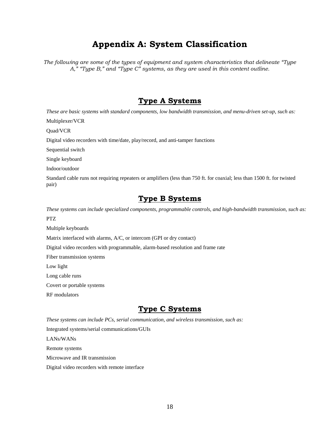# **Appendix A: System Classification**

*The following are some of the types of equipment and system characteristics that delineate "Type A," "Type B," and "Type C" systems, as they are used in this content outline.* 

### **Type A Systems**

 *These are basic systems with standard components, low bandwidth transmission, and menu-driven set-up, such as:* 

Multiplexer/VCR

Quad/VCR

Digital video recorders with time/date, play/record, and anti-tamper functions

Sequential switch

Single keyboard

Indoor/outdoor

Standard cable runs not requiring repeaters or amplifiers (less than 750 ft. for coaxial; less than 1500 ft. for twisted pair)

### **Type B Systems**

 *These systems can include specialized components, programmable controls, and high-bandwidth transmission, such as:*  PTZ

Multiple keyboards

Matrix interfaced with alarms, A/C, or intercom (GPI or dry contact)

Digital video recorders with programmable, alarm-based resolution and frame rate

Fiber transmission systems

Low light

Long cable runs

Covert or portable systems

RF modulators

### **Type C Systems**

 *These systems can include PCs, serial communication, and wireless transmission, such as:* 

Integrated systems/serial communications/GUIs

LANs/WANs

Remote systems

Microwave and IR transmission

Digital video recorders with remote interface